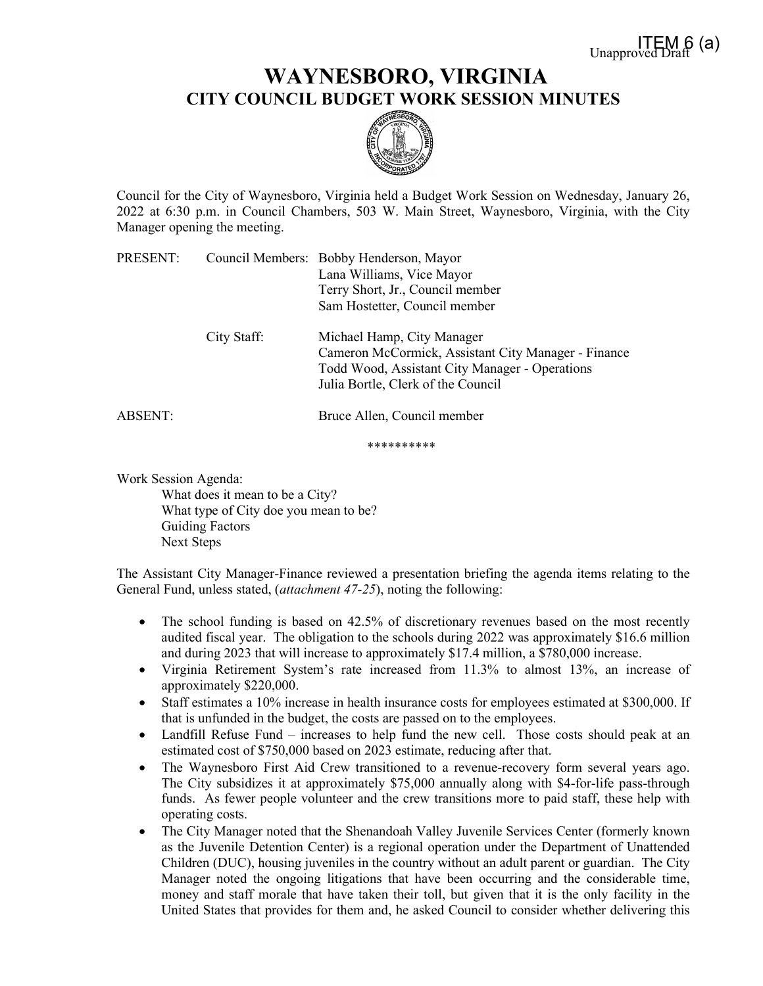## **WAYNESBORO, VIRGINIA CITY COUNCIL BUDGET WORK SESSION MINUTES**



Council for the City of Waynesboro, Virginia held a Budget Work Session on Wednesday, January 26, 2022 at 6:30 p.m. in Council Chambers, 503 W. Main Street, Waynesboro, Virginia, with the City Manager opening the meeting.

| PRESENT: |             | Council Members: Bobby Henderson, Mayor<br>Lana Williams, Vice Mayor<br>Terry Short, Jr., Council member<br>Sam Hostetter, Council member                                 |
|----------|-------------|---------------------------------------------------------------------------------------------------------------------------------------------------------------------------|
|          | City Staff: | Michael Hamp, City Manager<br>Cameron McCormick, Assistant City Manager - Finance<br>Todd Wood, Assistant City Manager - Operations<br>Julia Bortle, Clerk of the Council |
| ABSENT:  |             | Bruce Allen, Council member                                                                                                                                               |

\*\*\*\*\*\*\*\*\*\*

Work Session Agenda:

What does it mean to be a City? What type of City doe you mean to be? Guiding Factors Next Steps

The Assistant City Manager-Finance reviewed a presentation briefing the agenda items relating to the General Fund, unless stated, (*attachment 47-25*), noting the following:

- The school funding is based on 42.5% of discretionary revenues based on the most recently audited fiscal year. The obligation to the schools during 2022 was approximately \$16.6 million and during 2023 that will increase to approximately \$17.4 million, a \$780,000 increase.
- Virginia Retirement System's rate increased from 11.3% to almost 13%, an increase of approximately \$220,000.
- Staff estimates a 10% increase in health insurance costs for employees estimated at \$300,000. If that is unfunded in the budget, the costs are passed on to the employees.
- Landfill Refuse Fund increases to help fund the new cell. Those costs should peak at an estimated cost of \$750,000 based on 2023 estimate, reducing after that.
- The Waynesboro First Aid Crew transitioned to a revenue-recovery form several years ago. The City subsidizes it at approximately \$75,000 annually along with \$4-for-life pass-through funds. As fewer people volunteer and the crew transitions more to paid staff, these help with operating costs.
- The City Manager noted that the Shenandoah Valley Juvenile Services Center (formerly known as the Juvenile Detention Center) is a regional operation under the Department of Unattended Children (DUC), housing juveniles in the country without an adult parent or guardian. The City Manager noted the ongoing litigations that have been occurring and the considerable time, money and staff morale that have taken their toll, but given that it is the only facility in the United States that provides for them and, he asked Council to consider whether delivering this